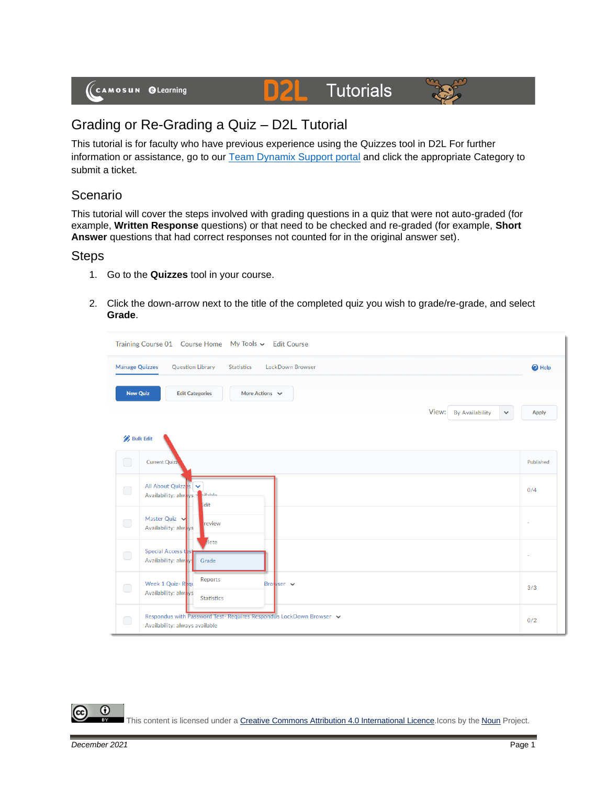# **D2L** Tutorials



## Grading or Re-Grading a Quiz – D2L Tutorial

This tutorial is for faculty who have previous experience using the Quizzes tool in D2L For further information or assistance, go to our [Team Dynamix Support portal](https://camosun.teamdynamix.com/TDClient/67/Portal/Requests/ServiceCatalog?CategoryID=523) and click the appropriate Category to submit a ticket.

### Scenario

This tutorial will cover the steps involved with grading questions in a quiz that were not auto-graded (for example, **Written Response** questions) or that need to be checked and re-graded (for example, **Short Answer** questions that had correct responses not counted for in the original answer set).

#### **Steps**

- 1. Go to the **Quizzes** tool in your course.
- 2. Click the down-arrow next to the title of the completed quiz you wish to grade/re-grade, and select **Grade**.



⋒ This content is licensed under [a Creative Commons Attribution 4.0 International Licence.I](https://creativecommons.org/licenses/by/4.0/)cons by the [Noun](https://creativecommons.org/website-icons/) Project.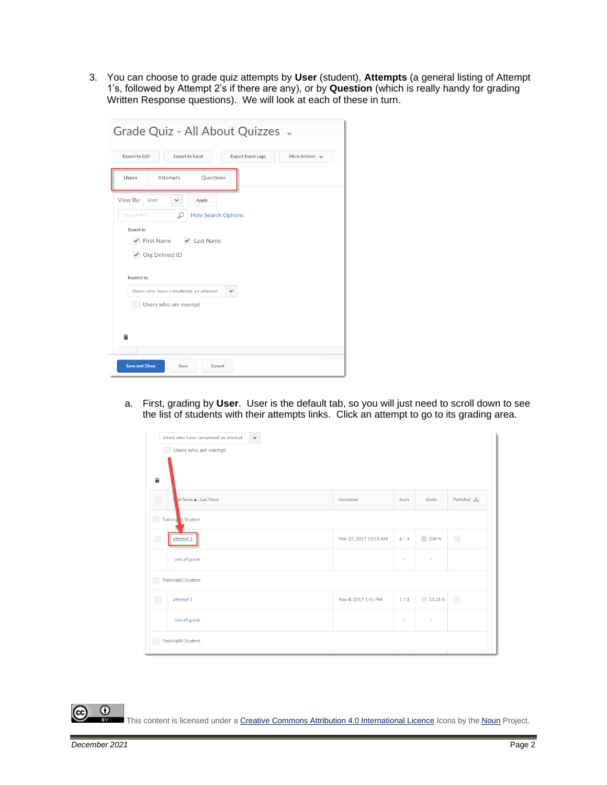3. You can choose to grade quiz attempts by **User** (student), **Attempts** (a general listing of Attempt 1's, followed by Attempt 2's if there are any), or by **Question** (which is really handy for grading Written Response questions). We will look at each of these in turn.

| Grade Quiz - All About Quizzes .                                                                                                                                                                    |           |
|-----------------------------------------------------------------------------------------------------------------------------------------------------------------------------------------------------|-----------|
| <b>Export to CSV</b><br><b>Export Event Logs</b><br>More Actions $\sim$<br><b>Export to Excel</b>                                                                                                   |           |
| <b>Questions</b><br><b>Users</b><br><b>Attempts</b>                                                                                                                                                 |           |
| View By:<br>User<br>Apply<br>$\checkmark$<br>Ω<br><b>Hide Search Options</b><br>Search For<br>Search In<br>$\checkmark$ First Name $\checkmark$ Last Name<br>✔ Org Defined ID<br><b>Restrict to</b> |           |
| Users who have completed an attempt<br>$\checkmark$<br>Users who are exempt<br>合                                                                                                                    |           |
| First Name  Last Name<br><b>Save and Close</b><br>Cancel<br>Save                                                                                                                                    | Completed |

a. First, grading by **User**. User is the default tab, so you will just need to scroll down to see the list of students with their attempts links. Click an attempt to go to its grading area.

| Users who have completed an attempt<br>$\checkmark$<br>Users who are exempt<br>貪 |                       |       |         |                                 |
|----------------------------------------------------------------------------------|-----------------------|-------|---------|---------------------------------|
| $\bigcirc$<br>st Name . Last Name                                                | Completed             | Score | Grade   | Published $\frac{\sqrt{3}}{82}$ |
| Training 1 Student<br>◠                                                          |                       |       |         |                                 |
| O<br>attempt 1                                                                   | Mar 27, 2017 10:23 AM | 6/3   | 200 %   | $\bigcirc$                      |
| overall grade                                                                    |                       | ٠     | $\sim$  |                                 |
| Training03 Student                                                               |                       |       |         |                                 |
| ∩<br>attempt 1                                                                   | Nov 8, 2017 1:41 PM   | 1/3   | 33.33 % | $\bigcirc$                      |
| overall grade                                                                    |                       | ٠     | ٠       |                                 |
| Training04 Student                                                               |                       |       |         |                                 |

 $\odot$ This content is licensed under [a Creative Commons Attribution 4.0 International Licence.I](https://creativecommons.org/licenses/by/4.0/)cons by the [Noun](https://creativecommons.org/website-icons/) Project.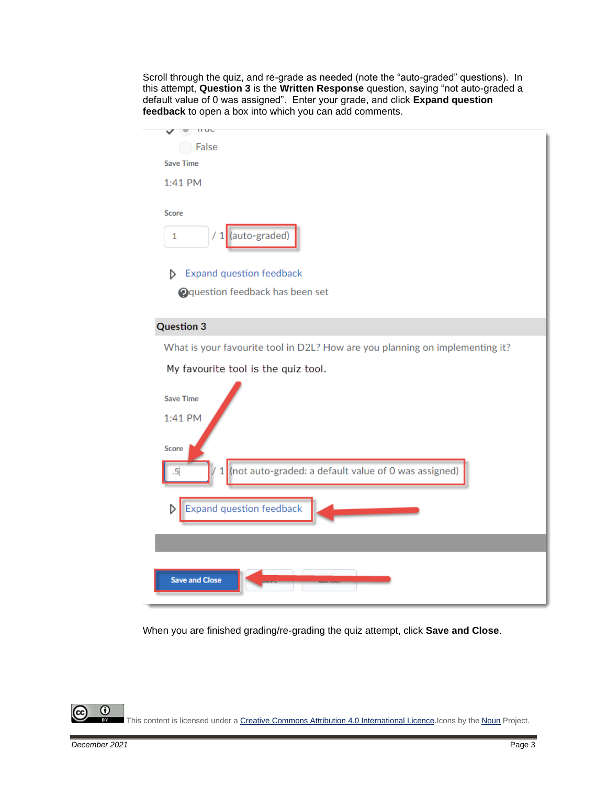Scroll through the quiz, and re-grade as needed (note the "auto-graded" questions). In this attempt, **Question 3** is the **Written Response** question, saying "not auto-graded a default value of 0 was assigned". Enter your grade, and click **Expand question feedback** to open a box into which you can add comments.



When you are finished grading/re-grading the quiz attempt, click **Save and Close**.

This content is licensed under [a Creative Commons Attribution 4.0 International Licence.I](https://creativecommons.org/licenses/by/4.0/)cons by the [Noun](https://creativecommons.org/website-icons/) Project.

⋒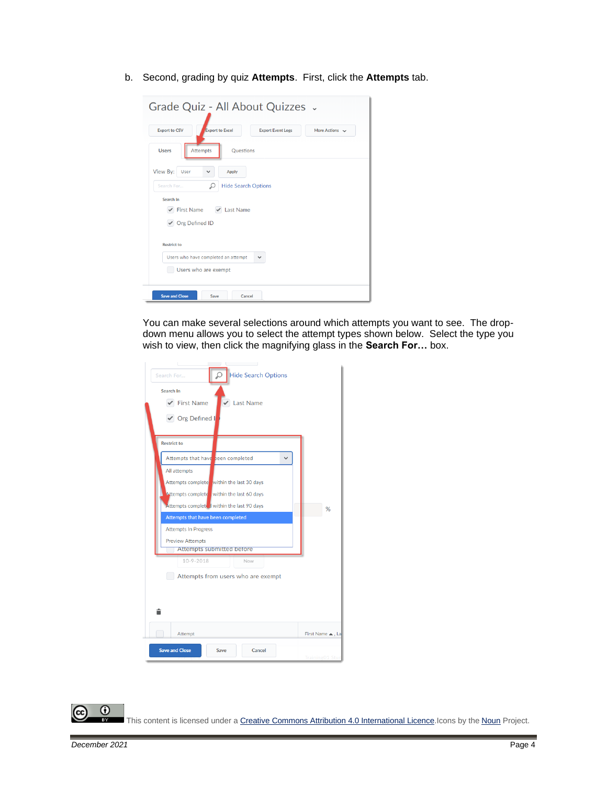b. Second, grading by quiz **Attempts**. First, click the **Attempts** tab.



You can make several selections around which attempts you want to see. The dropdown menu allows you to select the attempt types shown below. Select the type you wish to view, then click the magnifying glass in the **Search For…** box.

| and the control of<br><b>Hide Search Options</b><br>Search For<br>Search In<br>$\checkmark$ First Name<br>$\vee$ Last Name<br>$\vee$ Org Defined I                                                                                                                                                                             |                |
|--------------------------------------------------------------------------------------------------------------------------------------------------------------------------------------------------------------------------------------------------------------------------------------------------------------------------------|----------------|
| <b>Restrict to</b><br>Attempts that have been completed<br>$\checkmark$<br>All attempts<br>Attempts complete within the last 30 days<br>Attempts complete within the last 60 days<br>Attempts completed within the last 90 days<br>Attempts that have been completed<br><b>Attempts In Progress</b><br><b>Preview Attempts</b> | %              |
| Attempts submitted before<br>10-9-2018<br>Now<br>Attempts from users who are exempt<br>â<br>Attempt<br><b>Save and Close</b><br>Save<br>Cancel                                                                                                                                                                                 | First Name A.L |
|                                                                                                                                                                                                                                                                                                                                | Training01 Stu |

 $\odot$ This content is licensed under [a Creative Commons Attribution 4.0 International Licence.I](https://creativecommons.org/licenses/by/4.0/)cons by the [Noun](https://creativecommons.org/website-icons/) Project.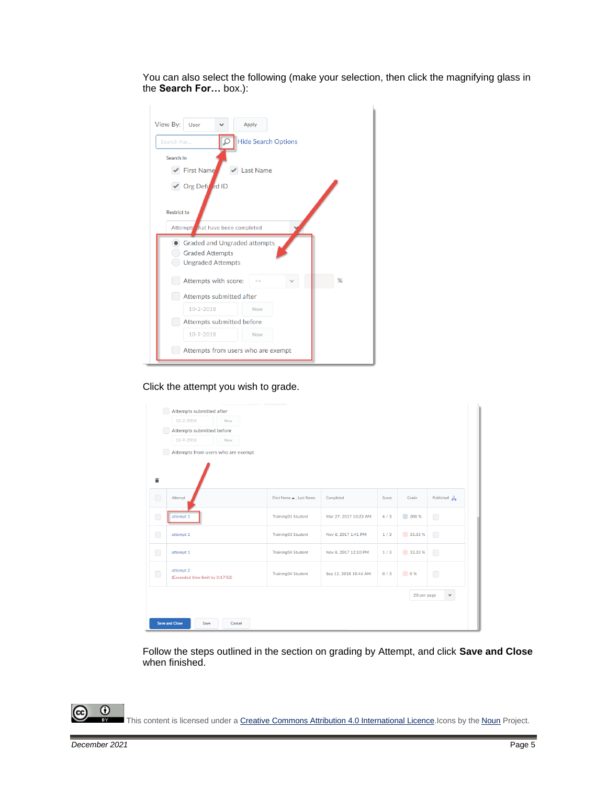You can also select the following (make your selection, then click the magnifying glass in the **Search For…** box.):

| View By:<br><b>Apply</b><br>User                                                          |
|-------------------------------------------------------------------------------------------|
| <b>Hide Search Options</b><br>Search For                                                  |
| Search In                                                                                 |
| <b>First Name</b><br><b>Last Name</b>                                                     |
| √ Org Defi ed ID<br><b>Restrict to</b>                                                    |
| Attempts that have been completed                                                         |
| <b>Graded and Ungraded attempts</b><br><b>Graded Attempts</b><br><b>Ungraded Attempts</b> |
| %<br>Attempts with score:<br>$\leq$ $=$                                                   |
| Attempts submitted after                                                                  |
| $10 - 2 - 2018$<br>Now                                                                    |
| <b>Attempts submitted before</b>                                                          |
| $10 - 9 - 2018$<br>Now                                                                    |
| Attempts from users who are exempt                                                        |

Click the attempt you wish to grade.

|            | $10 - 2 - 2018$                  | Now                                |                           |                       |       |             |                                                  |
|------------|----------------------------------|------------------------------------|---------------------------|-----------------------|-------|-------------|--------------------------------------------------|
|            | Attempts submitted before        |                                    |                           |                       |       |             |                                                  |
|            | $10 - 9 - 2018$                  | Now                                |                           |                       |       |             |                                                  |
|            |                                  | Attempts from users who are exempt |                           |                       |       |             |                                                  |
|            |                                  |                                    |                           |                       |       |             |                                                  |
|            |                                  |                                    |                           |                       |       |             |                                                  |
|            |                                  |                                    |                           |                       |       |             |                                                  |
|            |                                  |                                    |                           |                       |       |             |                                                  |
| $\bigcirc$ | Attempt                          |                                    | First Name . Last Name    | Completed             | Score | Grade       | Published $\frac{\partial}{\partial \mathbf{a}}$ |
|            | attempt 1                        |                                    | <b>Training01 Student</b> | Mar 27, 2017 10:23 AM | 6/3   | 200 %       |                                                  |
|            |                                  |                                    |                           |                       |       |             | $\bigcirc$                                       |
|            | attempt 1                        |                                    | Training03 Student        | Nov 8, 2017 1:41 PM   | 1/3   | 33.33 %     | $\bigcap$                                        |
| $\bigcap$  |                                  |                                    |                           |                       |       |             |                                                  |
|            | attempt 1                        |                                    | <b>Training04 Student</b> | Nov 8, 2017 12:10 PM  | 1/3   | 33.33 %     | $\bigcap$                                        |
|            |                                  |                                    |                           |                       |       |             |                                                  |
| $\bigcirc$ | attempt 2                        |                                    | <b>Training04 Student</b> | Sep 12, 2018 10:46 AM | 0/3   | 0%          | $\bigcirc$                                       |
|            | (Exceeded time limit by 0:17:52) |                                    |                           |                       |       |             |                                                  |
|            |                                  |                                    |                           |                       |       | 20 per page | $\checkmark$                                     |
|            |                                  |                                    |                           |                       |       |             |                                                  |
|            |                                  |                                    |                           |                       |       |             |                                                  |

Follow the steps outlined in the section on grading by Attempt, and click **Save and Close** when finished.

This content is licensed under [a Creative Commons Attribution 4.0 International Licence.I](https://creativecommons.org/licenses/by/4.0/)cons by the [Noun](https://creativecommons.org/website-icons/) Project.

 $\odot$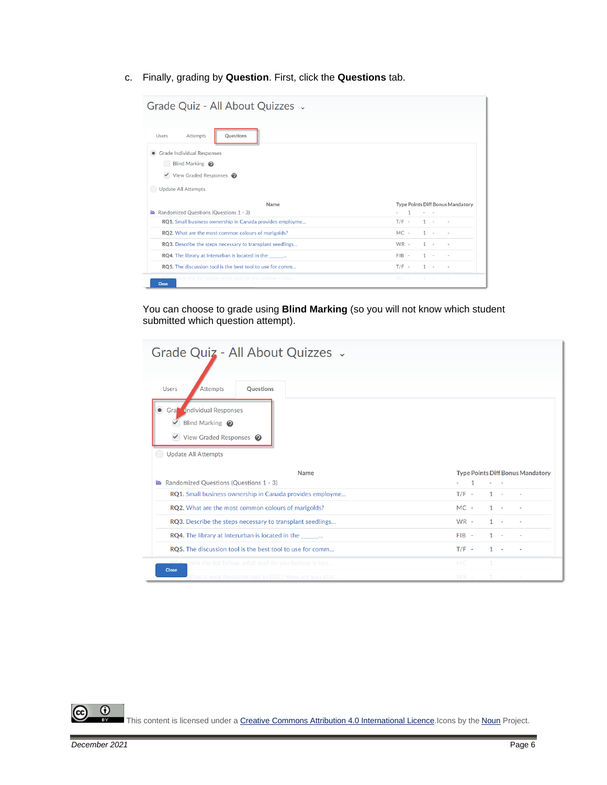c. Finally, grading by **Question**. First, click the **Questions** tab.

| Grade Quiz - All About Quizzes .                                                                                                                                                                  |              |       |                                         |
|---------------------------------------------------------------------------------------------------------------------------------------------------------------------------------------------------|--------------|-------|-----------------------------------------|
| <b>Questions</b><br><b>Users</b><br><b>Attempts</b><br><b>Grade Individual Responses</b><br>Blind Marking @<br>$\blacktriangleright$ View Graded Responses $\Theta$<br><b>Update All Attempts</b> |              |       |                                         |
|                                                                                                                                                                                                   |              |       |                                         |
| <b>Name</b>                                                                                                                                                                                       |              |       | <b>Type Points Diff Bonus Mandatory</b> |
| Randomized Questions (Questions 1 - 3)                                                                                                                                                            | $\mathbf{1}$ |       |                                         |
| RQ1. Small business ownership in Canada provides employme                                                                                                                                         | $T/F -$      | $1 -$ |                                         |
| RQ2. What are the most common colours of marigolds?                                                                                                                                               | $MC -$       | $1 -$ |                                         |
| RQ3. Describe the steps necessary to transplant seedlings                                                                                                                                         | $WR -$       | $1 -$ |                                         |
| RQ4. The library at Interurban is located in the ______                                                                                                                                           | $FIB -$      | $1 -$ |                                         |
| RQ5. The discussion tool is the best tool to use for comm                                                                                                                                         | $T/F -$      | $1 -$ |                                         |

You can choose to grade using **Blind Marking** (so you will not know which student submitted which question attempt).

| Grade Quiz - All About Quizzes .                                                                           |         |       |                                         |
|------------------------------------------------------------------------------------------------------------|---------|-------|-----------------------------------------|
| <b>Users</b><br><b>Attempts</b><br>Questions                                                               |         |       |                                         |
| <b>Gra</b> Individual Responses<br>Blind Marking @<br>$\blacktriangleright$ View Graded Responses $\Theta$ |         |       |                                         |
| <b>Update All Attempts</b>                                                                                 |         |       |                                         |
| <b>Name</b>                                                                                                |         |       | <b>Type Points Diff Bonus Mandatory</b> |
| Randomized Questions (Questions 1 - 3)                                                                     | 1       |       |                                         |
| RQ1. Small business ownership in Canada provides employme                                                  | $T/F -$ | $1 -$ |                                         |
| RQ2. What are the most common colours of marigolds?                                                        | $MC -$  | $1 -$ |                                         |
| RQ3. Describe the steps necessary to transplant seedlings                                                  | $WR -$  | $1 -$ |                                         |
| RQ4. The library at Interurban is located in the _______                                                   | $FIB -$ | $1 -$ |                                         |
| RQ5. The discussion tool is the best tool to use for comm                                                  | $T/F -$ | $1 -$ |                                         |
| <b>PO6</b> From the list below, what tool do you believe is bes<br><b>Close</b>                            | $MC -$  |       |                                         |

 $\overline{\odot}$ (cc

This content is licensed under [a Creative Commons Attribution 4.0 International Licence.I](https://creativecommons.org/licenses/by/4.0/)cons by the [Noun](https://creativecommons.org/website-icons/) Project.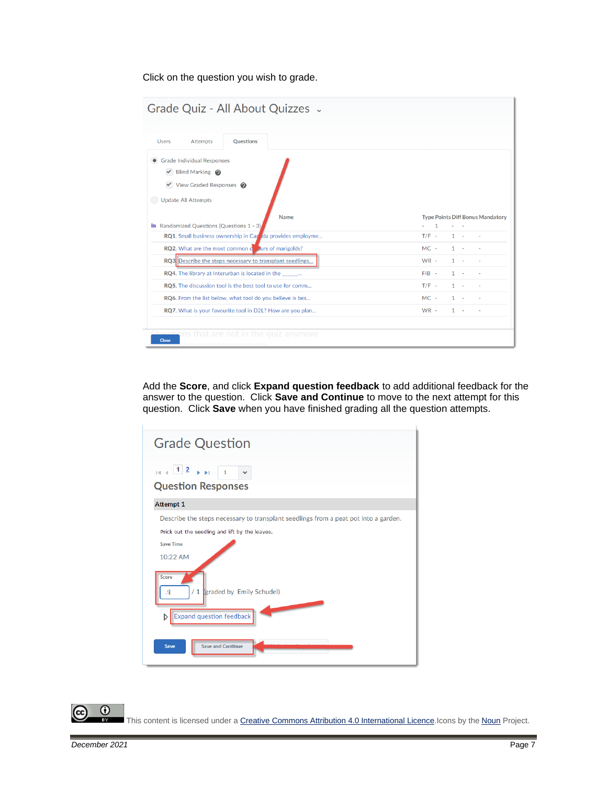Click on the question you wish to grade.

|                                         | <b>Questions</b>                                           |         |              |                                         |
|-----------------------------------------|------------------------------------------------------------|---------|--------------|-----------------------------------------|
| • Grade Individual Responses            |                                                            |         |              |                                         |
| $\vee$ Blind Marking $\odot$            |                                                            |         |              |                                         |
| $\vee$ View Graded Responses $\bigcirc$ |                                                            |         |              |                                         |
| <b>Update All Attempts</b>              |                                                            |         |              |                                         |
| Randomized Questions (Questions 1 - 3)  | <b>Name</b>                                                |         |              | <b>Type Points Diff Bonus Mandatory</b> |
|                                         | RQ1. Small business ownership in Car Ida provides employme | $T/F -$ | $\mathbf{1}$ |                                         |
|                                         | RQ2. What are the most common cours of marigolds?          | $MC -$  | $1 \quad$    |                                         |
|                                         | RQ3 Describe the steps necessary to transplant seedlings   | $WR -$  | 1            |                                         |
|                                         | RQ4. The library at Interurban is located in the ______    | FIB-    | 1            |                                         |
|                                         | RQ5. The discussion tool is the best tool to use for comm  | $T/F -$ | $\mathbf{1}$ |                                         |
|                                         |                                                            | $MC -$  | 1            |                                         |
|                                         | RQ6. From the list below, what tool do you believe is bes  |         |              |                                         |

Add the **Score**, and click **Expand question feedback** to add additional feedback for the answer to the question. Click **Save and Continue** to move to the next attempt for this question. Click **Save** when you have finished grading all the question attempts.

| <b>Grade Question</b>                                                                                                   |
|-------------------------------------------------------------------------------------------------------------------------|
| $\frac{1}{2}$ 12 $\frac{1}{2}$<br><b>Question Responses</b>                                                             |
| <b>Attempt 1</b>                                                                                                        |
| Describe the steps necessary to transplant seedlings from a peat pot into a garden.                                     |
| Prick out the seedling and lift by the leaves.<br><b>Save Time</b><br>10:22 AM                                          |
| <b>Score</b><br>/ 1 <i>(graded by Emily Schudel)</i><br>.5<br><b>STATISTICS</b><br><b>Expand question feedback</b><br>D |
| <b>Save and Continue</b><br><b>Save</b>                                                                                 |

 $\odot$ (cc

This content is licensed under [a Creative Commons Attribution 4.0 International Licence.I](https://creativecommons.org/licenses/by/4.0/)cons by the [Noun](https://creativecommons.org/website-icons/) Project.